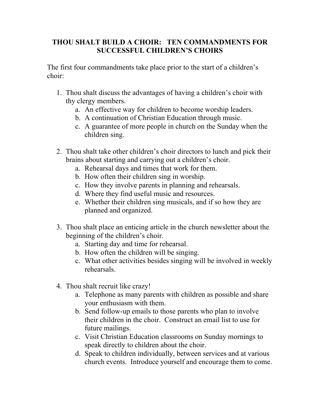## **THOU SHALT BUILD A CHOIR: TEN COMMANDMENTS FOR SUCCESSFUL CHILDREN'S CHOIRS**

The first four commandments take place prior to the start of a children's choir:

- 1. Thou shalt discuss the advantages of having a children's choir with thy clergy members.
	- a. An effective way for children to become worship leaders.
	- b. A continuation of Christian Education through music.
	- c. A guarantee of more people in church on the Sunday when the children sing.
- 2. Thou shalt take other children's choir directors to lunch and pick their brains about starting and carrying out a children's choir.
	- a. Rehearsal days and times that work for them.
	- b. How often their children sing in worship.
	- c. How they involve parents in planning and rehearsals.
	- d. Where they find useful music and resources.
	- e. Whether their children sing musicals, and if so how they are planned and organized.
- 3. Thou shalt place an enticing article in the church newsletter about the beginning of the children's choir.
	- a. Starting day and time for rehearsal.
	- b. How often the children will be singing.
	- c. What other activities besides singing will be involved in weekly rehearsals.
- 4. Thou shalt recruit like crazy!
	- a. Telephone as many parents with children as possible and share your enthusiasm with them.
	- b. Send follow-up emails to those parents who plan to involve their children in the choir. Construct an email list to use for future mailings.
	- c. Visit Christian Education classrooms on Sunday mornings to speak directly to children about the choir.
	- d. Speak to children individually, between services and at various church events. Introduce yourself and encourage them to come.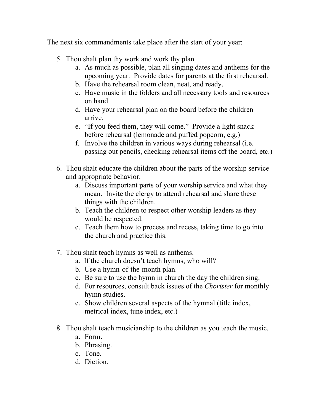The next six commandments take place after the start of your year:

- 5. Thou shalt plan thy work and work thy plan.
	- a. As much as possible, plan all singing dates and anthems for the upcoming year. Provide dates for parents at the first rehearsal.
	- b. Have the rehearsal room clean, neat, and ready.
	- c. Have music in the folders and all necessary tools and resources on hand.
	- d. Have your rehearsal plan on the board before the children arrive.
	- e. "If you feed them, they will come." Provide a light snack before rehearsal (lemonade and puffed popcorn, e.g.)
	- f. Involve the children in various ways during rehearsal (i.e. passing out pencils, checking rehearsal items off the board, etc.)
- 6. Thou shalt educate the children about the parts of the worship service and appropriate behavior.
	- a. Discuss important parts of your worship service and what they mean. Invite the clergy to attend rehearsal and share these things with the children.
	- b. Teach the children to respect other worship leaders as they would be respected.
	- c. Teach them how to process and recess, taking time to go into the church and practice this.
- 7. Thou shalt teach hymns as well as anthems.
	- a. If the church doesn't teach hymns, who will?
	- b. Use a hymn-of-the-month plan.
	- c. Be sure to use the hymn in church the day the children sing.
	- d. For resources, consult back issues of the *Chorister* for monthly hymn studies.
	- e. Show children several aspects of the hymnal (title index, metrical index, tune index, etc.)
- 8. Thou shalt teach musicianship to the children as you teach the music.
	- a. Form.
	- b. Phrasing.
	- c. Tone.
	- d. Diction.